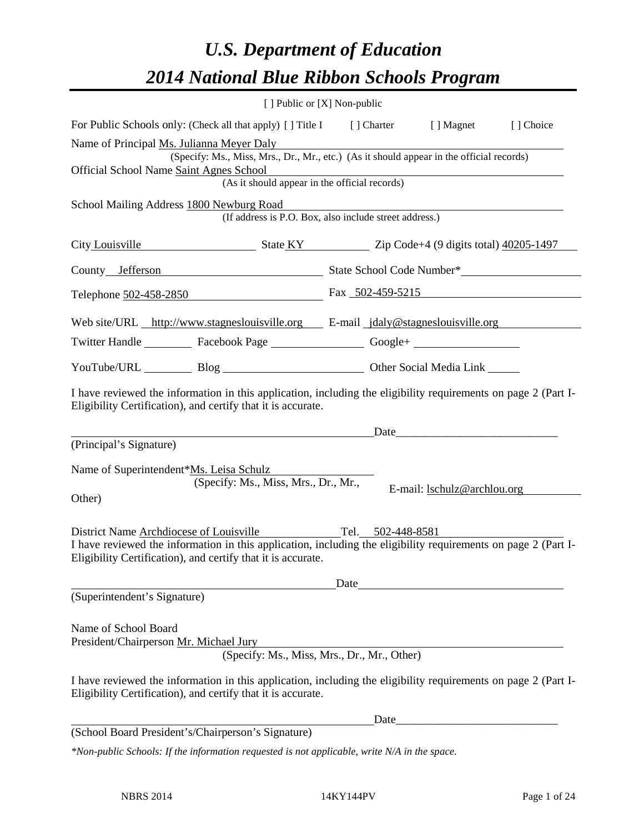# *U.S. Department of Education 2014 National Blue Ribbon Schools Program*

|                                                                                                                                                                                | [ ] Public or [X] Non-public                                                             |  |  |                                                                                                                                                                                                                               |           |  |
|--------------------------------------------------------------------------------------------------------------------------------------------------------------------------------|------------------------------------------------------------------------------------------|--|--|-------------------------------------------------------------------------------------------------------------------------------------------------------------------------------------------------------------------------------|-----------|--|
| For Public Schools only: (Check all that apply) [ ] Title I [ ] Charter [ ] Magnet                                                                                             |                                                                                          |  |  |                                                                                                                                                                                                                               | [] Choice |  |
| Name of Principal Ms. Julianna Meyer Daly                                                                                                                                      | (Specify: Ms., Miss, Mrs., Dr., Mr., etc.) (As it should appear in the official records) |  |  |                                                                                                                                                                                                                               |           |  |
| Official School Name Saint Agnes School                                                                                                                                        |                                                                                          |  |  |                                                                                                                                                                                                                               |           |  |
|                                                                                                                                                                                | (As it should appear in the official records)                                            |  |  |                                                                                                                                                                                                                               |           |  |
| School Mailing Address 1800 Newburg Road                                                                                                                                       | (If address is P.O. Box, also include street address.)                                   |  |  |                                                                                                                                                                                                                               |           |  |
|                                                                                                                                                                                | City Louisville State KY Zip Code+4 (9 digits total) 40205-1497                          |  |  |                                                                                                                                                                                                                               |           |  |
|                                                                                                                                                                                |                                                                                          |  |  |                                                                                                                                                                                                                               |           |  |
| Telephone 502-458-2850 Fax 502-459-5215                                                                                                                                        |                                                                                          |  |  |                                                                                                                                                                                                                               |           |  |
| Web site/URL http://www.stagneslouisville.org E-mail jdaly@stagneslouisville.org                                                                                               |                                                                                          |  |  |                                                                                                                                                                                                                               |           |  |
| Twitter Handle ___________ Facebook Page ___________________ Google+ ____________                                                                                              |                                                                                          |  |  |                                                                                                                                                                                                                               |           |  |
| YouTube/URL Blog Blog Cher Social Media Link                                                                                                                                   |                                                                                          |  |  |                                                                                                                                                                                                                               |           |  |
| I have reviewed the information in this application, including the eligibility requirements on page 2 (Part I-<br>Eligibility Certification), and certify that it is accurate. |                                                                                          |  |  |                                                                                                                                                                                                                               |           |  |
|                                                                                                                                                                                |                                                                                          |  |  | Date                                                                                                                                                                                                                          |           |  |
| (Principal's Signature)                                                                                                                                                        |                                                                                          |  |  |                                                                                                                                                                                                                               |           |  |
| Name of Superintendent*Ms. Leisa Schulz                                                                                                                                        | (Specify: Ms., Miss, Mrs., Dr., Mr.,                                                     |  |  |                                                                                                                                                                                                                               |           |  |
| Other)                                                                                                                                                                         |                                                                                          |  |  | E-mail: <u>lschulz@archlou</u> .org                                                                                                                                                                                           |           |  |
| District Name Archdiocese of Louisville                                                                                                                                        | Tel. $502-448-8581$                                                                      |  |  |                                                                                                                                                                                                                               |           |  |
| I have reviewed the information in this application, including the eligibility requirements on page 2 (Part I-<br>Eligibility Certification), and certify that it is accurate. |                                                                                          |  |  |                                                                                                                                                                                                                               |           |  |
|                                                                                                                                                                                |                                                                                          |  |  | Date and the same state of the same state of the same state of the same state of the same state of the same state of the same state of the same state of the same state of the same state of the same state of the same state |           |  |
| (Superintendent's Signature)                                                                                                                                                   |                                                                                          |  |  |                                                                                                                                                                                                                               |           |  |
| Name of School Board<br>President/Chairperson Mr. Michael Jury                                                                                                                 |                                                                                          |  |  |                                                                                                                                                                                                                               |           |  |
|                                                                                                                                                                                | (Specify: Ms., Miss, Mrs., Dr., Mr., Other)                                              |  |  |                                                                                                                                                                                                                               |           |  |
| I have reviewed the information in this application, including the eligibility requirements on page 2 (Part I-<br>Eligibility Certification), and certify that it is accurate. |                                                                                          |  |  |                                                                                                                                                                                                                               |           |  |
|                                                                                                                                                                                |                                                                                          |  |  |                                                                                                                                                                                                                               |           |  |
| (School Board President's/Chairperson's Signature)                                                                                                                             |                                                                                          |  |  |                                                                                                                                                                                                                               |           |  |
| *Non-public Schools: If the information requested is not applicable, write N/A in the space.                                                                                   |                                                                                          |  |  |                                                                                                                                                                                                                               |           |  |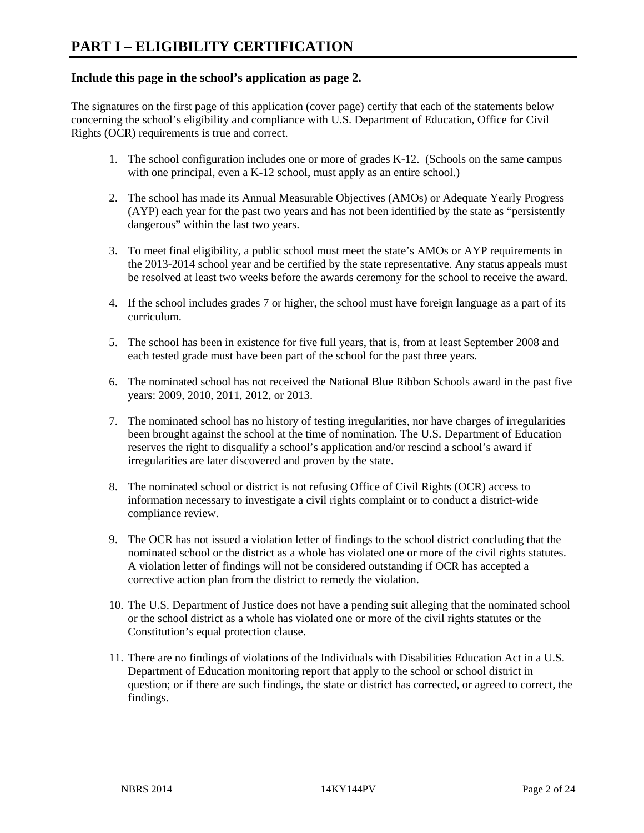## **Include this page in the school's application as page 2.**

The signatures on the first page of this application (cover page) certify that each of the statements below concerning the school's eligibility and compliance with U.S. Department of Education, Office for Civil Rights (OCR) requirements is true and correct.

- 1. The school configuration includes one or more of grades K-12. (Schools on the same campus with one principal, even a K-12 school, must apply as an entire school.)
- 2. The school has made its Annual Measurable Objectives (AMOs) or Adequate Yearly Progress (AYP) each year for the past two years and has not been identified by the state as "persistently dangerous" within the last two years.
- 3. To meet final eligibility, a public school must meet the state's AMOs or AYP requirements in the 2013-2014 school year and be certified by the state representative. Any status appeals must be resolved at least two weeks before the awards ceremony for the school to receive the award.
- 4. If the school includes grades 7 or higher, the school must have foreign language as a part of its curriculum.
- 5. The school has been in existence for five full years, that is, from at least September 2008 and each tested grade must have been part of the school for the past three years.
- 6. The nominated school has not received the National Blue Ribbon Schools award in the past five years: 2009, 2010, 2011, 2012, or 2013.
- 7. The nominated school has no history of testing irregularities, nor have charges of irregularities been brought against the school at the time of nomination. The U.S. Department of Education reserves the right to disqualify a school's application and/or rescind a school's award if irregularities are later discovered and proven by the state.
- 8. The nominated school or district is not refusing Office of Civil Rights (OCR) access to information necessary to investigate a civil rights complaint or to conduct a district-wide compliance review.
- 9. The OCR has not issued a violation letter of findings to the school district concluding that the nominated school or the district as a whole has violated one or more of the civil rights statutes. A violation letter of findings will not be considered outstanding if OCR has accepted a corrective action plan from the district to remedy the violation.
- 10. The U.S. Department of Justice does not have a pending suit alleging that the nominated school or the school district as a whole has violated one or more of the civil rights statutes or the Constitution's equal protection clause.
- 11. There are no findings of violations of the Individuals with Disabilities Education Act in a U.S. Department of Education monitoring report that apply to the school or school district in question; or if there are such findings, the state or district has corrected, or agreed to correct, the findings.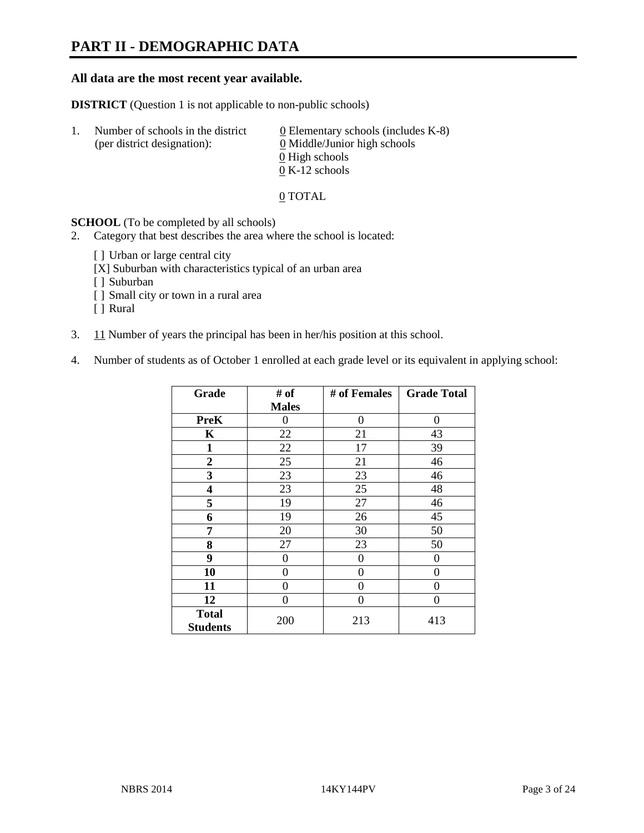# **PART II - DEMOGRAPHIC DATA**

#### **All data are the most recent year available.**

**DISTRICT** (Question 1 is not applicable to non-public schools)

| $\perp$ . | Number of schools in the district<br>(per district designation): | 0 Elementary schools (includes $K-8$ )<br>0 Middle/Junior high schools |
|-----------|------------------------------------------------------------------|------------------------------------------------------------------------|
|           |                                                                  | 0 High schools                                                         |
|           |                                                                  | $0 K-12$ schools                                                       |

0 TOTAL

**SCHOOL** (To be completed by all schools)

2. Category that best describes the area where the school is located:

- [] Urban or large central city
- [X] Suburban with characteristics typical of an urban area
- [ ] Suburban
- [ ] Small city or town in a rural area
- [ ] Rural
- 3. 11 Number of years the principal has been in her/his position at this school.
- 4. Number of students as of October 1 enrolled at each grade level or its equivalent in applying school:

| Grade                           | # of           | # of Females   | <b>Grade Total</b> |
|---------------------------------|----------------|----------------|--------------------|
|                                 | <b>Males</b>   |                |                    |
| <b>PreK</b>                     | 0              | 0              | 0                  |
| K                               | 22             | 21             | 43                 |
| 1                               | 22             | 17             | 39                 |
| $\overline{2}$                  | 25             | 21             | 46                 |
| 3                               | 23             | 23             | 46                 |
| 4                               | 23             | 25             | 48                 |
| 5                               | 19             | 27             | 46                 |
| 6                               | 19             | 26             | 45                 |
| 7                               | 20             | 30             | 50                 |
| 8                               | 27             | 23             | 50                 |
| 9                               | $\overline{0}$ | $\overline{0}$ | 0                  |
| 10                              | 0              | 0              | 0                  |
| 11                              | $\theta$       | 0              | 0                  |
| 12                              | 0              | 0              | 0                  |
| <b>Total</b><br><b>Students</b> | 200            | 213            | 413                |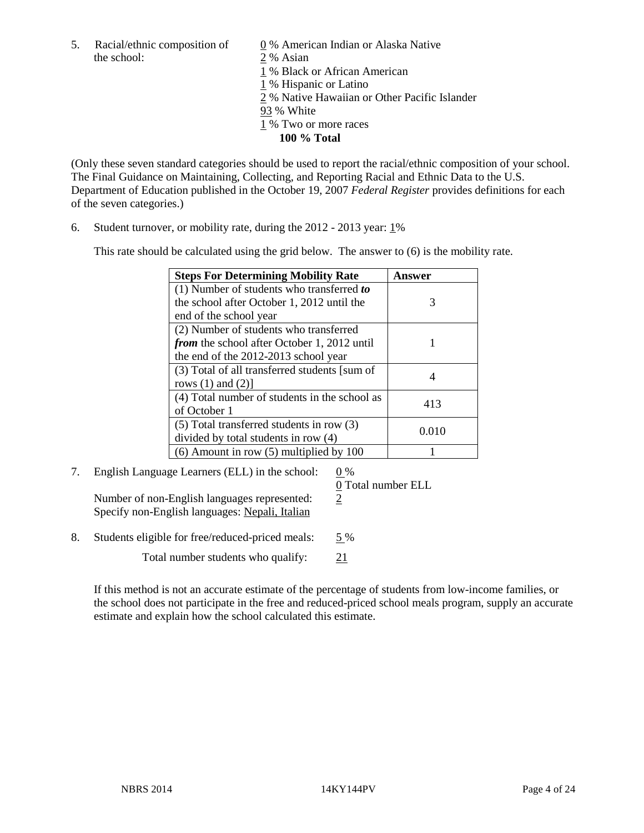the school: 2 % Asian

5. Racial/ethnic composition of  $\qquad \qquad \underline{0}$  % American Indian or Alaska Native

1 % Black or African American

1 % Hispanic or Latino

2 % Native Hawaiian or Other Pacific Islander

- 93 % White
- 1 % Two or more races
	- **100 % Total**

(Only these seven standard categories should be used to report the racial/ethnic composition of your school. The Final Guidance on Maintaining, Collecting, and Reporting Racial and Ethnic Data to the U.S. Department of Education published in the October 19, 2007 *Federal Register* provides definitions for each of the seven categories.)

6. Student turnover, or mobility rate, during the 2012 - 2013 year: 1%

This rate should be calculated using the grid below. The answer to (6) is the mobility rate.

| <b>Steps For Determining Mobility Rate</b>         | Answer |
|----------------------------------------------------|--------|
| (1) Number of students who transferred to          |        |
| the school after October 1, 2012 until the         | 3      |
| end of the school year                             |        |
| (2) Number of students who transferred             |        |
| <i>from</i> the school after October 1, 2012 until |        |
| the end of the 2012-2013 school year               |        |
| (3) Total of all transferred students [sum of      |        |
| rows $(1)$ and $(2)$ ]                             |        |
| (4) Total number of students in the school as      | 413    |
| of October 1                                       |        |
| $(5)$ Total transferred students in row $(3)$      | 0.010  |
| divided by total students in row (4)               |        |
| $(6)$ Amount in row $(5)$ multiplied by 100        |        |

# 7. English Language Learners (ELL) in the school: 0 %

Number of non-English languages represented:  $\frac{2}{3}$ Specify non-English languages: Nepali, Italian

0 Total number ELL

8. Students eligible for free/reduced-priced meals: 5 % Total number students who qualify: 21

If this method is not an accurate estimate of the percentage of students from low-income families, or the school does not participate in the free and reduced-priced school meals program, supply an accurate estimate and explain how the school calculated this estimate.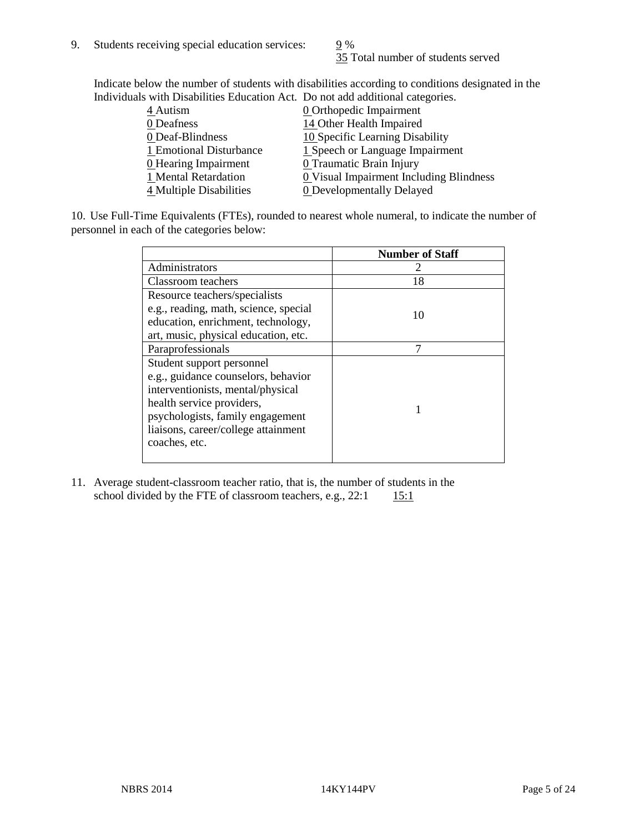35 Total number of students served

Indicate below the number of students with disabilities according to conditions designated in the Individuals with Disabilities Education Act. Do not add additional categories.

| marriaans with Disabilities Laacahon rict. Do hot aaa aaantonar categorics. |                                         |
|-----------------------------------------------------------------------------|-----------------------------------------|
| $4$ Autism                                                                  | <b>0</b> Orthopedic Impairment          |
| 0 Deafness                                                                  | 14 Other Health Impaired                |
| 0 Deaf-Blindness                                                            | 10 Specific Learning Disability         |
| 1 Emotional Disturbance                                                     | 1 Speech or Language Impairment         |
| 0 Hearing Impairment                                                        | 0 Traumatic Brain Injury                |
| 1 Mental Retardation                                                        | 0 Visual Impairment Including Blindness |
| 4 Multiple Disabilities                                                     | <b>0</b> Developmentally Delayed        |
|                                                                             |                                         |

10. Use Full-Time Equivalents (FTEs), rounded to nearest whole numeral, to indicate the number of personnel in each of the categories below:

|                                       | <b>Number of Staff</b> |
|---------------------------------------|------------------------|
| Administrators                        |                        |
| Classroom teachers                    | 18                     |
| Resource teachers/specialists         |                        |
| e.g., reading, math, science, special | 10                     |
| education, enrichment, technology,    |                        |
| art, music, physical education, etc.  |                        |
| Paraprofessionals                     |                        |
| Student support personnel             |                        |
| e.g., guidance counselors, behavior   |                        |
| interventionists, mental/physical     |                        |
| health service providers,             |                        |
| psychologists, family engagement      |                        |
| liaisons, career/college attainment   |                        |
| coaches, etc.                         |                        |
|                                       |                        |

11. Average student-classroom teacher ratio, that is, the number of students in the school divided by the FTE of classroom teachers, e.g.,  $22:1$  15:1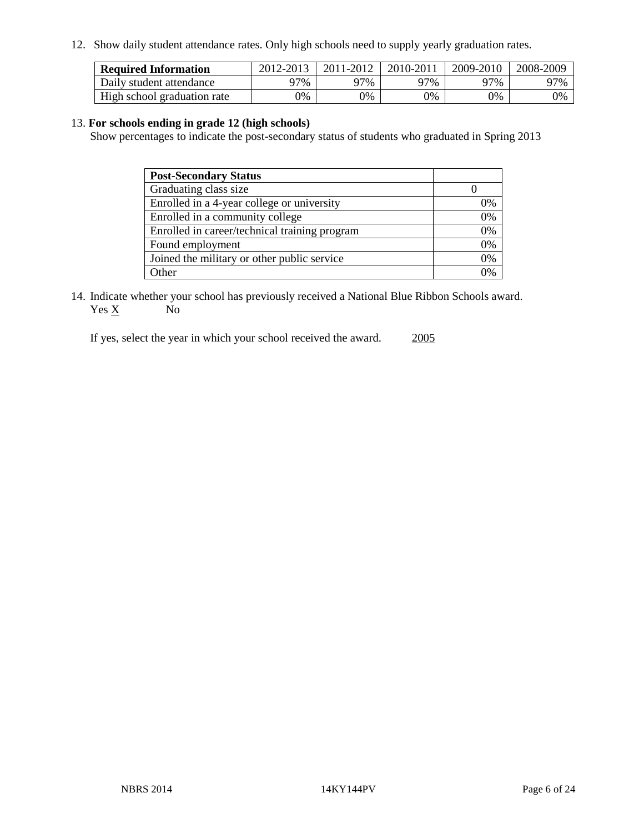12. Show daily student attendance rates. Only high schools need to supply yearly graduation rates.

| <b>Required Information</b> | 2012-2013 | 2011-2012 | 2010-2011 | 2009-2010 | 2008-2009 |
|-----------------------------|-----------|-----------|-----------|-----------|-----------|
| Daily student attendance    | 7%        | ን7%       | 77%       | 77%       | 97%       |
| High school graduation rate | 9%        | 0%        | 0%        | 0%        | 0%        |

#### 13. **For schools ending in grade 12 (high schools)**

Show percentages to indicate the post-secondary status of students who graduated in Spring 2013

| <b>Post-Secondary Status</b>                  |    |
|-----------------------------------------------|----|
| Graduating class size                         |    |
| Enrolled in a 4-year college or university    | 0% |
| Enrolled in a community college               | 0% |
| Enrolled in career/technical training program | 0% |
| Found employment                              | 0% |
| Joined the military or other public service   | 0% |
| . Other                                       | 0/ |

14. Indicate whether your school has previously received a National Blue Ribbon Schools award.  $Yes \underline{X}$  No

If yes, select the year in which your school received the award. 2005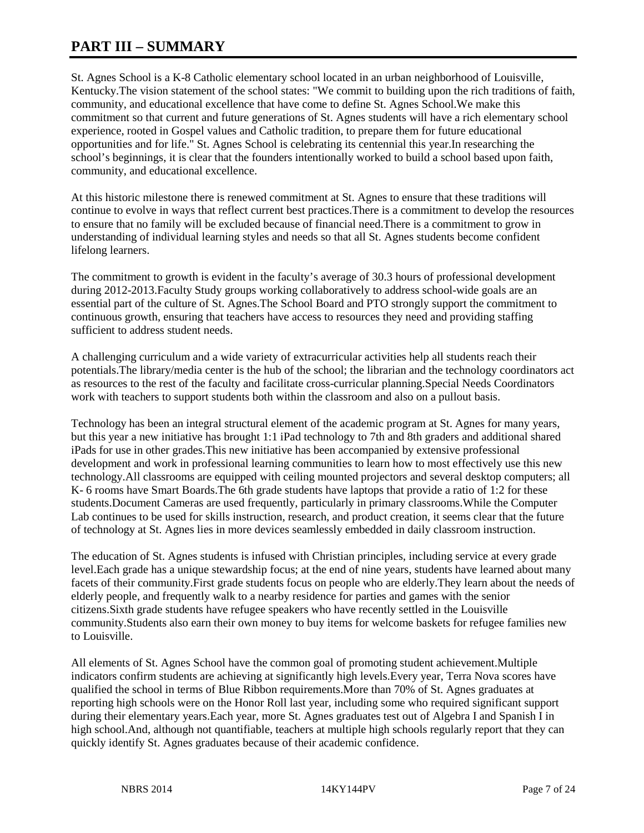# **PART III – SUMMARY**

St. Agnes School is a K-8 Catholic elementary school located in an urban neighborhood of Louisville, Kentucky.The vision statement of the school states: "We commit to building upon the rich traditions of faith, community, and educational excellence that have come to define St. Agnes School.We make this commitment so that current and future generations of St. Agnes students will have a rich elementary school experience, rooted in Gospel values and Catholic tradition, to prepare them for future educational opportunities and for life." St. Agnes School is celebrating its centennial this year.In researching the school's beginnings, it is clear that the founders intentionally worked to build a school based upon faith, community, and educational excellence.

At this historic milestone there is renewed commitment at St. Agnes to ensure that these traditions will continue to evolve in ways that reflect current best practices.There is a commitment to develop the resources to ensure that no family will be excluded because of financial need.There is a commitment to grow in understanding of individual learning styles and needs so that all St. Agnes students become confident lifelong learners.

The commitment to growth is evident in the faculty's average of 30.3 hours of professional development during 2012-2013.Faculty Study groups working collaboratively to address school-wide goals are an essential part of the culture of St. Agnes.The School Board and PTO strongly support the commitment to continuous growth, ensuring that teachers have access to resources they need and providing staffing sufficient to address student needs.

A challenging curriculum and a wide variety of extracurricular activities help all students reach their potentials.The library/media center is the hub of the school; the librarian and the technology coordinators act as resources to the rest of the faculty and facilitate cross-curricular planning.Special Needs Coordinators work with teachers to support students both within the classroom and also on a pullout basis.

Technology has been an integral structural element of the academic program at St. Agnes for many years, but this year a new initiative has brought 1:1 iPad technology to 7th and 8th graders and additional shared iPads for use in other grades.This new initiative has been accompanied by extensive professional development and work in professional learning communities to learn how to most effectively use this new technology.All classrooms are equipped with ceiling mounted projectors and several desktop computers; all K- 6 rooms have Smart Boards.The 6th grade students have laptops that provide a ratio of 1:2 for these students.Document Cameras are used frequently, particularly in primary classrooms.While the Computer Lab continues to be used for skills instruction, research, and product creation, it seems clear that the future of technology at St. Agnes lies in more devices seamlessly embedded in daily classroom instruction.

The education of St. Agnes students is infused with Christian principles, including service at every grade level.Each grade has a unique stewardship focus; at the end of nine years, students have learned about many facets of their community.First grade students focus on people who are elderly.They learn about the needs of elderly people, and frequently walk to a nearby residence for parties and games with the senior citizens.Sixth grade students have refugee speakers who have recently settled in the Louisville community.Students also earn their own money to buy items for welcome baskets for refugee families new to Louisville.

All elements of St. Agnes School have the common goal of promoting student achievement.Multiple indicators confirm students are achieving at significantly high levels.Every year, Terra Nova scores have qualified the school in terms of Blue Ribbon requirements.More than 70% of St. Agnes graduates at reporting high schools were on the Honor Roll last year, including some who required significant support during their elementary years.Each year, more St. Agnes graduates test out of Algebra I and Spanish I in high school.And, although not quantifiable, teachers at multiple high schools regularly report that they can quickly identify St. Agnes graduates because of their academic confidence.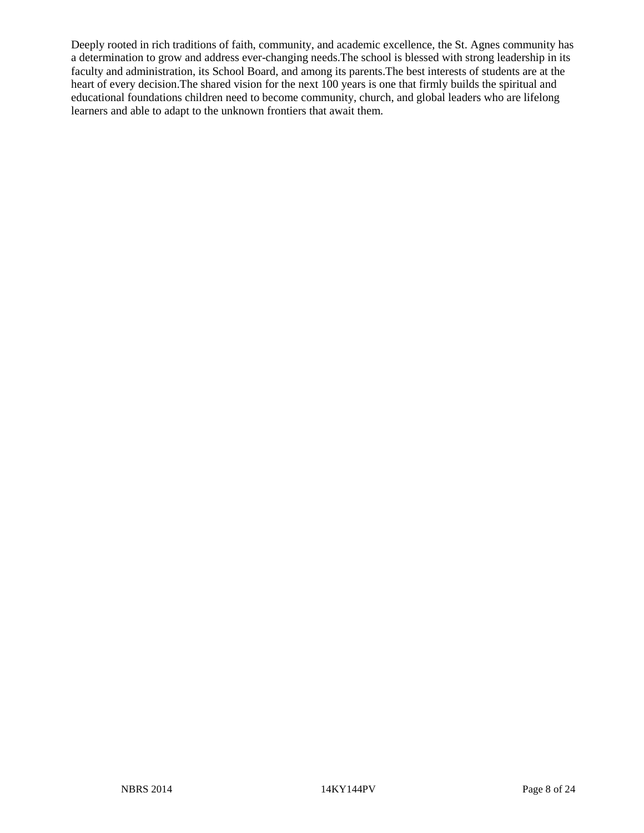Deeply rooted in rich traditions of faith, community, and academic excellence, the St. Agnes community has a determination to grow and address ever-changing needs.The school is blessed with strong leadership in its faculty and administration, its School Board, and among its parents.The best interests of students are at the heart of every decision.The shared vision for the next 100 years is one that firmly builds the spiritual and educational foundations children need to become community, church, and global leaders who are lifelong learners and able to adapt to the unknown frontiers that await them.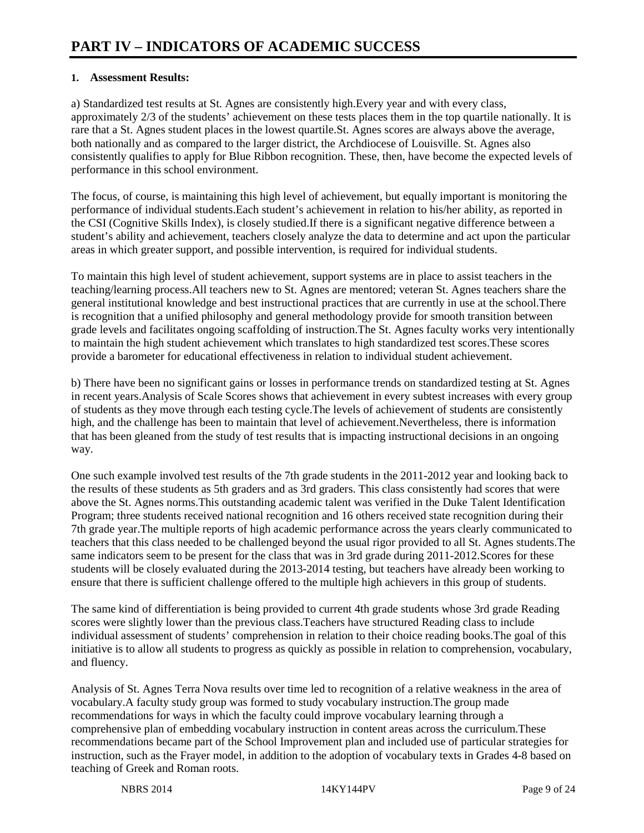#### **1. Assessment Results:**

a) Standardized test results at St. Agnes are consistently high.Every year and with every class, approximately 2/3 of the students' achievement on these tests places them in the top quartile nationally. It is rare that a St. Agnes student places in the lowest quartile.St. Agnes scores are always above the average, both nationally and as compared to the larger district, the Archdiocese of Louisville. St. Agnes also consistently qualifies to apply for Blue Ribbon recognition. These, then, have become the expected levels of performance in this school environment.

The focus, of course, is maintaining this high level of achievement, but equally important is monitoring the performance of individual students.Each student's achievement in relation to his/her ability, as reported in the CSI (Cognitive Skills Index), is closely studied.If there is a significant negative difference between a student's ability and achievement, teachers closely analyze the data to determine and act upon the particular areas in which greater support, and possible intervention, is required for individual students.

To maintain this high level of student achievement, support systems are in place to assist teachers in the teaching/learning process.All teachers new to St. Agnes are mentored; veteran St. Agnes teachers share the general institutional knowledge and best instructional practices that are currently in use at the school.There is recognition that a unified philosophy and general methodology provide for smooth transition between grade levels and facilitates ongoing scaffolding of instruction.The St. Agnes faculty works very intentionally to maintain the high student achievement which translates to high standardized test scores.These scores provide a barometer for educational effectiveness in relation to individual student achievement.

b) There have been no significant gains or losses in performance trends on standardized testing at St. Agnes in recent years.Analysis of Scale Scores shows that achievement in every subtest increases with every group of students as they move through each testing cycle.The levels of achievement of students are consistently high, and the challenge has been to maintain that level of achievement.Nevertheless, there is information that has been gleaned from the study of test results that is impacting instructional decisions in an ongoing way.

One such example involved test results of the 7th grade students in the 2011-2012 year and looking back to the results of these students as 5th graders and as 3rd graders. This class consistently had scores that were above the St. Agnes norms.This outstanding academic talent was verified in the Duke Talent Identification Program; three students received national recognition and 16 others received state recognition during their 7th grade year.The multiple reports of high academic performance across the years clearly communicated to teachers that this class needed to be challenged beyond the usual rigor provided to all St. Agnes students.The same indicators seem to be present for the class that was in 3rd grade during 2011-2012.Scores for these students will be closely evaluated during the 2013-2014 testing, but teachers have already been working to ensure that there is sufficient challenge offered to the multiple high achievers in this group of students.

The same kind of differentiation is being provided to current 4th grade students whose 3rd grade Reading scores were slightly lower than the previous class.Teachers have structured Reading class to include individual assessment of students' comprehension in relation to their choice reading books.The goal of this initiative is to allow all students to progress as quickly as possible in relation to comprehension, vocabulary, and fluency.

Analysis of St. Agnes Terra Nova results over time led to recognition of a relative weakness in the area of vocabulary.A faculty study group was formed to study vocabulary instruction.The group made recommendations for ways in which the faculty could improve vocabulary learning through a comprehensive plan of embedding vocabulary instruction in content areas across the curriculum.These recommendations became part of the School Improvement plan and included use of particular strategies for instruction, such as the Frayer model, in addition to the adoption of vocabulary texts in Grades 4-8 based on teaching of Greek and Roman roots.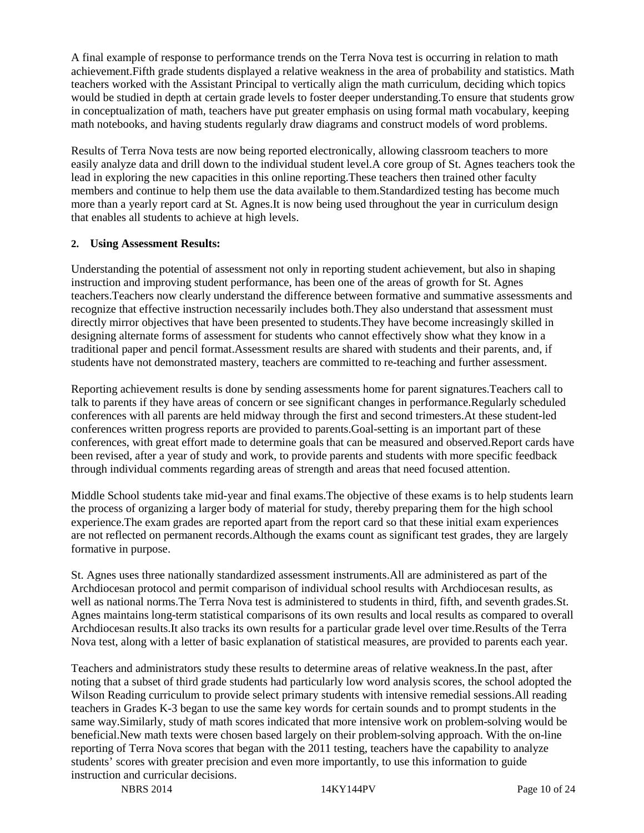A final example of response to performance trends on the Terra Nova test is occurring in relation to math achievement.Fifth grade students displayed a relative weakness in the area of probability and statistics. Math teachers worked with the Assistant Principal to vertically align the math curriculum, deciding which topics would be studied in depth at certain grade levels to foster deeper understanding.To ensure that students grow in conceptualization of math, teachers have put greater emphasis on using formal math vocabulary, keeping math notebooks, and having students regularly draw diagrams and construct models of word problems.

Results of Terra Nova tests are now being reported electronically, allowing classroom teachers to more easily analyze data and drill down to the individual student level.A core group of St. Agnes teachers took the lead in exploring the new capacities in this online reporting.These teachers then trained other faculty members and continue to help them use the data available to them.Standardized testing has become much more than a yearly report card at St. Agnes.It is now being used throughout the year in curriculum design that enables all students to achieve at high levels.

#### **2. Using Assessment Results:**

Understanding the potential of assessment not only in reporting student achievement, but also in shaping instruction and improving student performance, has been one of the areas of growth for St. Agnes teachers.Teachers now clearly understand the difference between formative and summative assessments and recognize that effective instruction necessarily includes both.They also understand that assessment must directly mirror objectives that have been presented to students.They have become increasingly skilled in designing alternate forms of assessment for students who cannot effectively show what they know in a traditional paper and pencil format.Assessment results are shared with students and their parents, and, if students have not demonstrated mastery, teachers are committed to re-teaching and further assessment.

Reporting achievement results is done by sending assessments home for parent signatures.Teachers call to talk to parents if they have areas of concern or see significant changes in performance.Regularly scheduled conferences with all parents are held midway through the first and second trimesters.At these student-led conferences written progress reports are provided to parents.Goal-setting is an important part of these conferences, with great effort made to determine goals that can be measured and observed.Report cards have been revised, after a year of study and work, to provide parents and students with more specific feedback through individual comments regarding areas of strength and areas that need focused attention.

Middle School students take mid-year and final exams.The objective of these exams is to help students learn the process of organizing a larger body of material for study, thereby preparing them for the high school experience.The exam grades are reported apart from the report card so that these initial exam experiences are not reflected on permanent records.Although the exams count as significant test grades, they are largely formative in purpose.

St. Agnes uses three nationally standardized assessment instruments.All are administered as part of the Archdiocesan protocol and permit comparison of individual school results with Archdiocesan results, as well as national norms.The Terra Nova test is administered to students in third, fifth, and seventh grades.St. Agnes maintains long-term statistical comparisons of its own results and local results as compared to overall Archdiocesan results.It also tracks its own results for a particular grade level over time.Results of the Terra Nova test, along with a letter of basic explanation of statistical measures, are provided to parents each year.

Teachers and administrators study these results to determine areas of relative weakness.In the past, after noting that a subset of third grade students had particularly low word analysis scores, the school adopted the Wilson Reading curriculum to provide select primary students with intensive remedial sessions.All reading teachers in Grades K-3 began to use the same key words for certain sounds and to prompt students in the same way.Similarly, study of math scores indicated that more intensive work on problem-solving would be beneficial.New math texts were chosen based largely on their problem-solving approach. With the on-line reporting of Terra Nova scores that began with the 2011 testing, teachers have the capability to analyze students' scores with greater precision and even more importantly, to use this information to guide instruction and curricular decisions.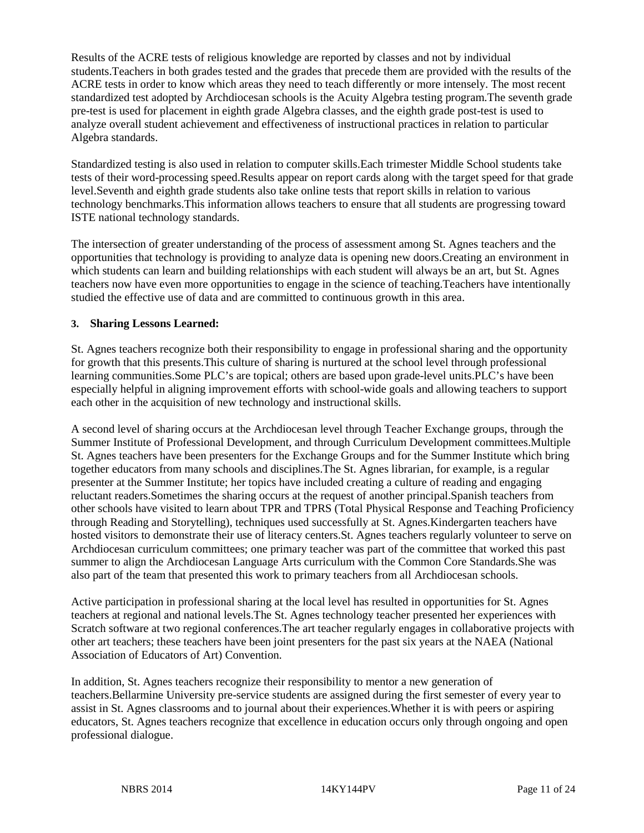Results of the ACRE tests of religious knowledge are reported by classes and not by individual students.Teachers in both grades tested and the grades that precede them are provided with the results of the ACRE tests in order to know which areas they need to teach differently or more intensely. The most recent standardized test adopted by Archdiocesan schools is the Acuity Algebra testing program.The seventh grade pre-test is used for placement in eighth grade Algebra classes, and the eighth grade post-test is used to analyze overall student achievement and effectiveness of instructional practices in relation to particular Algebra standards.

Standardized testing is also used in relation to computer skills.Each trimester Middle School students take tests of their word-processing speed.Results appear on report cards along with the target speed for that grade level.Seventh and eighth grade students also take online tests that report skills in relation to various technology benchmarks.This information allows teachers to ensure that all students are progressing toward ISTE national technology standards.

The intersection of greater understanding of the process of assessment among St. Agnes teachers and the opportunities that technology is providing to analyze data is opening new doors.Creating an environment in which students can learn and building relationships with each student will always be an art, but St. Agnes teachers now have even more opportunities to engage in the science of teaching.Teachers have intentionally studied the effective use of data and are committed to continuous growth in this area.

#### **3. Sharing Lessons Learned:**

St. Agnes teachers recognize both their responsibility to engage in professional sharing and the opportunity for growth that this presents.This culture of sharing is nurtured at the school level through professional learning communities.Some PLC's are topical; others are based upon grade-level units.PLC's have been especially helpful in aligning improvement efforts with school-wide goals and allowing teachers to support each other in the acquisition of new technology and instructional skills.

A second level of sharing occurs at the Archdiocesan level through Teacher Exchange groups, through the Summer Institute of Professional Development, and through Curriculum Development committees.Multiple St. Agnes teachers have been presenters for the Exchange Groups and for the Summer Institute which bring together educators from many schools and disciplines.The St. Agnes librarian, for example, is a regular presenter at the Summer Institute; her topics have included creating a culture of reading and engaging reluctant readers.Sometimes the sharing occurs at the request of another principal.Spanish teachers from other schools have visited to learn about TPR and TPRS (Total Physical Response and Teaching Proficiency through Reading and Storytelling), techniques used successfully at St. Agnes.Kindergarten teachers have hosted visitors to demonstrate their use of literacy centers.St. Agnes teachers regularly volunteer to serve on Archdiocesan curriculum committees; one primary teacher was part of the committee that worked this past summer to align the Archdiocesan Language Arts curriculum with the Common Core Standards.She was also part of the team that presented this work to primary teachers from all Archdiocesan schools.

Active participation in professional sharing at the local level has resulted in opportunities for St. Agnes teachers at regional and national levels.The St. Agnes technology teacher presented her experiences with Scratch software at two regional conferences.The art teacher regularly engages in collaborative projects with other art teachers; these teachers have been joint presenters for the past six years at the NAEA (National Association of Educators of Art) Convention.

In addition, St. Agnes teachers recognize their responsibility to mentor a new generation of teachers.Bellarmine University pre-service students are assigned during the first semester of every year to assist in St. Agnes classrooms and to journal about their experiences.Whether it is with peers or aspiring educators, St. Agnes teachers recognize that excellence in education occurs only through ongoing and open professional dialogue.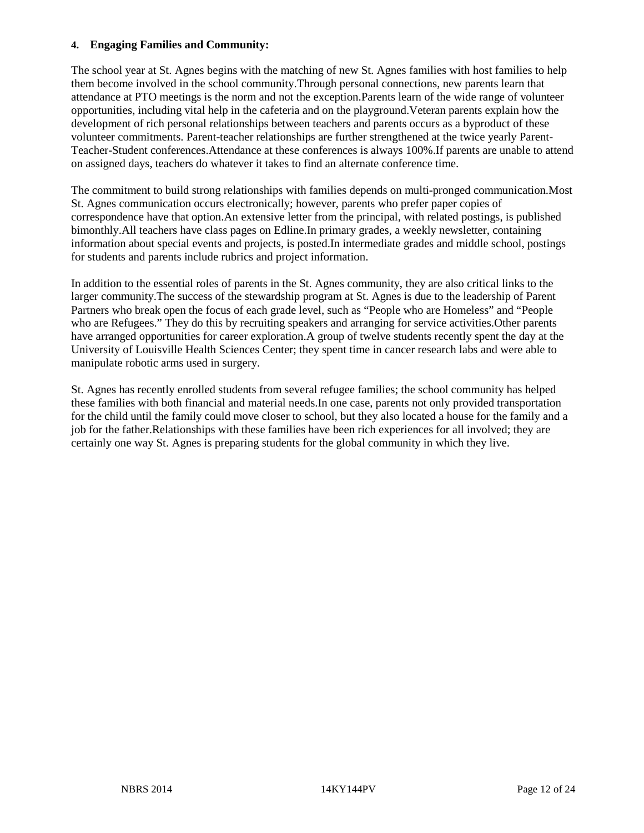#### **4. Engaging Families and Community:**

The school year at St. Agnes begins with the matching of new St. Agnes families with host families to help them become involved in the school community.Through personal connections, new parents learn that attendance at PTO meetings is the norm and not the exception.Parents learn of the wide range of volunteer opportunities, including vital help in the cafeteria and on the playground.Veteran parents explain how the development of rich personal relationships between teachers and parents occurs as a byproduct of these volunteer commitments. Parent-teacher relationships are further strengthened at the twice yearly Parent-Teacher-Student conferences.Attendance at these conferences is always 100%.If parents are unable to attend on assigned days, teachers do whatever it takes to find an alternate conference time.

The commitment to build strong relationships with families depends on multi-pronged communication.Most St. Agnes communication occurs electronically; however, parents who prefer paper copies of correspondence have that option.An extensive letter from the principal, with related postings, is published bimonthly.All teachers have class pages on Edline.In primary grades, a weekly newsletter, containing information about special events and projects, is posted.In intermediate grades and middle school, postings for students and parents include rubrics and project information.

In addition to the essential roles of parents in the St. Agnes community, they are also critical links to the larger community.The success of the stewardship program at St. Agnes is due to the leadership of Parent Partners who break open the focus of each grade level, such as "People who are Homeless" and "People who are Refugees." They do this by recruiting speakers and arranging for service activities.Other parents have arranged opportunities for career exploration.A group of twelve students recently spent the day at the University of Louisville Health Sciences Center; they spent time in cancer research labs and were able to manipulate robotic arms used in surgery.

St. Agnes has recently enrolled students from several refugee families; the school community has helped these families with both financial and material needs.In one case, parents not only provided transportation for the child until the family could move closer to school, but they also located a house for the family and a job for the father.Relationships with these families have been rich experiences for all involved; they are certainly one way St. Agnes is preparing students for the global community in which they live.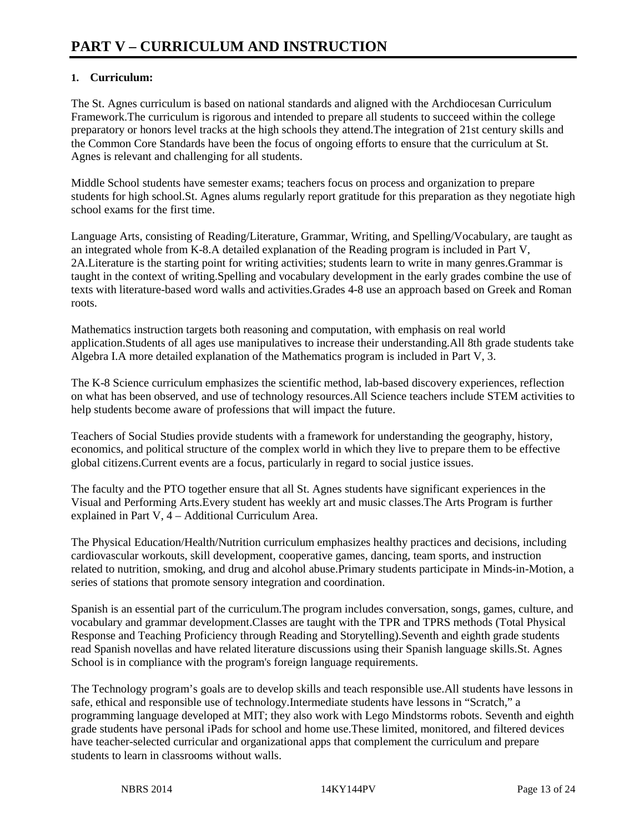## **1. Curriculum:**

The St. Agnes curriculum is based on national standards and aligned with the Archdiocesan Curriculum Framework.The curriculum is rigorous and intended to prepare all students to succeed within the college preparatory or honors level tracks at the high schools they attend.The integration of 21st century skills and the Common Core Standards have been the focus of ongoing efforts to ensure that the curriculum at St. Agnes is relevant and challenging for all students.

Middle School students have semester exams; teachers focus on process and organization to prepare students for high school.St. Agnes alums regularly report gratitude for this preparation as they negotiate high school exams for the first time.

Language Arts, consisting of Reading/Literature, Grammar, Writing, and Spelling/Vocabulary, are taught as an integrated whole from K-8.A detailed explanation of the Reading program is included in Part V, 2A.Literature is the starting point for writing activities; students learn to write in many genres.Grammar is taught in the context of writing.Spelling and vocabulary development in the early grades combine the use of texts with literature-based word walls and activities.Grades 4-8 use an approach based on Greek and Roman roots.

Mathematics instruction targets both reasoning and computation, with emphasis on real world application.Students of all ages use manipulatives to increase their understanding.All 8th grade students take Algebra I.A more detailed explanation of the Mathematics program is included in Part V, 3.

The K-8 Science curriculum emphasizes the scientific method, lab-based discovery experiences, reflection on what has been observed, and use of technology resources.All Science teachers include STEM activities to help students become aware of professions that will impact the future.

Teachers of Social Studies provide students with a framework for understanding the geography, history, economics, and political structure of the complex world in which they live to prepare them to be effective global citizens.Current events are a focus, particularly in regard to social justice issues.

The faculty and the PTO together ensure that all St. Agnes students have significant experiences in the Visual and Performing Arts.Every student has weekly art and music classes.The Arts Program is further explained in Part V, 4 – Additional Curriculum Area.

The Physical Education/Health/Nutrition curriculum emphasizes healthy practices and decisions, including cardiovascular workouts, skill development, cooperative games, dancing, team sports, and instruction related to nutrition, smoking, and drug and alcohol abuse.Primary students participate in Minds-in-Motion, a series of stations that promote sensory integration and coordination.

Spanish is an essential part of the curriculum.The program includes conversation, songs, games, culture, and vocabulary and grammar development.Classes are taught with the TPR and TPRS methods (Total Physical Response and Teaching Proficiency through Reading and Storytelling).Seventh and eighth grade students read Spanish novellas and have related literature discussions using their Spanish language skills.St. Agnes School is in compliance with the program's foreign language requirements.

The Technology program's goals are to develop skills and teach responsible use.All students have lessons in safe, ethical and responsible use of technology.Intermediate students have lessons in "Scratch," a programming language developed at MIT; they also work with Lego Mindstorms robots. Seventh and eighth grade students have personal iPads for school and home use.These limited, monitored, and filtered devices have teacher-selected curricular and organizational apps that complement the curriculum and prepare students to learn in classrooms without walls.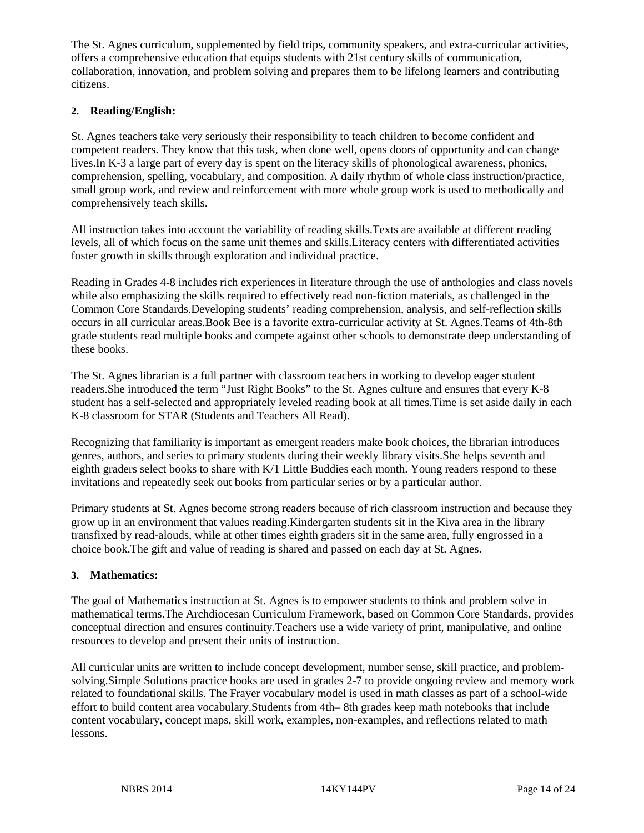The St. Agnes curriculum, supplemented by field trips, community speakers, and extra-curricular activities, offers a comprehensive education that equips students with 21st century skills of communication, collaboration, innovation, and problem solving and prepares them to be lifelong learners and contributing citizens.

#### **2. Reading/English:**

St. Agnes teachers take very seriously their responsibility to teach children to become confident and competent readers. They know that this task, when done well, opens doors of opportunity and can change lives.In K-3 a large part of every day is spent on the literacy skills of phonological awareness, phonics, comprehension, spelling, vocabulary, and composition. A daily rhythm of whole class instruction/practice, small group work, and review and reinforcement with more whole group work is used to methodically and comprehensively teach skills.

All instruction takes into account the variability of reading skills.Texts are available at different reading levels, all of which focus on the same unit themes and skills.Literacy centers with differentiated activities foster growth in skills through exploration and individual practice.

Reading in Grades 4-8 includes rich experiences in literature through the use of anthologies and class novels while also emphasizing the skills required to effectively read non-fiction materials, as challenged in the Common Core Standards.Developing students' reading comprehension, analysis, and self-reflection skills occurs in all curricular areas.Book Bee is a favorite extra-curricular activity at St. Agnes.Teams of 4th-8th grade students read multiple books and compete against other schools to demonstrate deep understanding of these books.

The St. Agnes librarian is a full partner with classroom teachers in working to develop eager student readers.She introduced the term "Just Right Books" to the St. Agnes culture and ensures that every K-8 student has a self-selected and appropriately leveled reading book at all times.Time is set aside daily in each K-8 classroom for STAR (Students and Teachers All Read).

Recognizing that familiarity is important as emergent readers make book choices, the librarian introduces genres, authors, and series to primary students during their weekly library visits.She helps seventh and eighth graders select books to share with K/1 Little Buddies each month. Young readers respond to these invitations and repeatedly seek out books from particular series or by a particular author.

Primary students at St. Agnes become strong readers because of rich classroom instruction and because they grow up in an environment that values reading.Kindergarten students sit in the Kiva area in the library transfixed by read-alouds, while at other times eighth graders sit in the same area, fully engrossed in a choice book.The gift and value of reading is shared and passed on each day at St. Agnes.

#### **3. Mathematics:**

The goal of Mathematics instruction at St. Agnes is to empower students to think and problem solve in mathematical terms.The Archdiocesan Curriculum Framework, based on Common Core Standards, provides conceptual direction and ensures continuity.Teachers use a wide variety of print, manipulative, and online resources to develop and present their units of instruction.

All curricular units are written to include concept development, number sense, skill practice, and problemsolving.Simple Solutions practice books are used in grades 2-7 to provide ongoing review and memory work related to foundational skills. The Frayer vocabulary model is used in math classes as part of a school-wide effort to build content area vocabulary.Students from 4th– 8th grades keep math notebooks that include content vocabulary, concept maps, skill work, examples, non-examples, and reflections related to math lessons.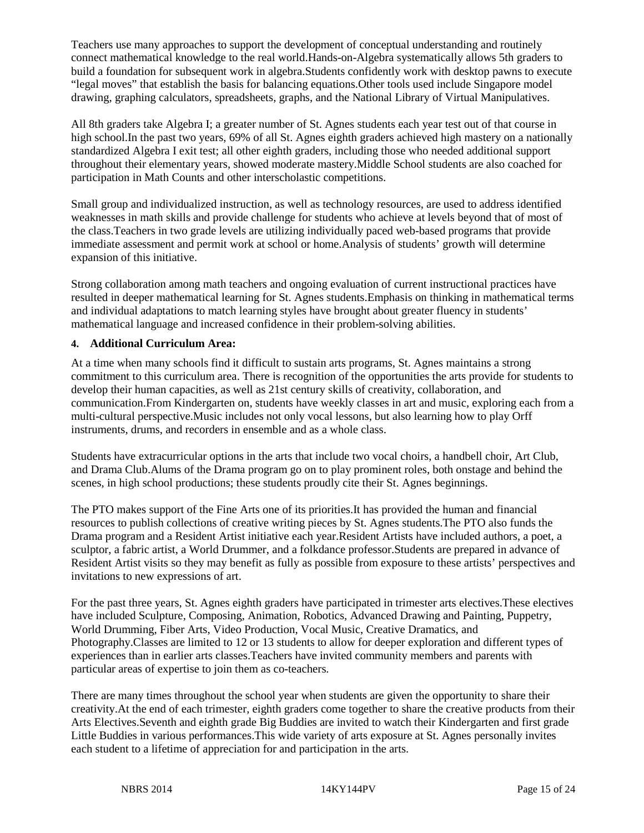Teachers use many approaches to support the development of conceptual understanding and routinely connect mathematical knowledge to the real world.Hands-on-Algebra systematically allows 5th graders to build a foundation for subsequent work in algebra.Students confidently work with desktop pawns to execute "legal moves" that establish the basis for balancing equations.Other tools used include Singapore model drawing, graphing calculators, spreadsheets, graphs, and the National Library of Virtual Manipulatives.

All 8th graders take Algebra I; a greater number of St. Agnes students each year test out of that course in high school.In the past two years, 69% of all St. Agnes eighth graders achieved high mastery on a nationally standardized Algebra I exit test; all other eighth graders, including those who needed additional support throughout their elementary years, showed moderate mastery.Middle School students are also coached for participation in Math Counts and other interscholastic competitions.

Small group and individualized instruction, as well as technology resources, are used to address identified weaknesses in math skills and provide challenge for students who achieve at levels beyond that of most of the class.Teachers in two grade levels are utilizing individually paced web-based programs that provide immediate assessment and permit work at school or home.Analysis of students' growth will determine expansion of this initiative.

Strong collaboration among math teachers and ongoing evaluation of current instructional practices have resulted in deeper mathematical learning for St. Agnes students.Emphasis on thinking in mathematical terms and individual adaptations to match learning styles have brought about greater fluency in students' mathematical language and increased confidence in their problem-solving abilities.

#### **4. Additional Curriculum Area:**

At a time when many schools find it difficult to sustain arts programs, St. Agnes maintains a strong commitment to this curriculum area. There is recognition of the opportunities the arts provide for students to develop their human capacities, as well as 21st century skills of creativity, collaboration, and communication.From Kindergarten on, students have weekly classes in art and music, exploring each from a multi-cultural perspective.Music includes not only vocal lessons, but also learning how to play Orff instruments, drums, and recorders in ensemble and as a whole class.

Students have extracurricular options in the arts that include two vocal choirs, a handbell choir, Art Club, and Drama Club.Alums of the Drama program go on to play prominent roles, both onstage and behind the scenes, in high school productions; these students proudly cite their St. Agnes beginnings.

The PTO makes support of the Fine Arts one of its priorities.It has provided the human and financial resources to publish collections of creative writing pieces by St. Agnes students.The PTO also funds the Drama program and a Resident Artist initiative each year.Resident Artists have included authors, a poet, a sculptor, a fabric artist, a World Drummer, and a folkdance professor.Students are prepared in advance of Resident Artist visits so they may benefit as fully as possible from exposure to these artists' perspectives and invitations to new expressions of art.

For the past three years, St. Agnes eighth graders have participated in trimester arts electives.These electives have included Sculpture, Composing, Animation, Robotics, Advanced Drawing and Painting, Puppetry, World Drumming, Fiber Arts, Video Production, Vocal Music, Creative Dramatics, and Photography.Classes are limited to 12 or 13 students to allow for deeper exploration and different types of experiences than in earlier arts classes.Teachers have invited community members and parents with particular areas of expertise to join them as co-teachers.

There are many times throughout the school year when students are given the opportunity to share their creativity.At the end of each trimester, eighth graders come together to share the creative products from their Arts Electives.Seventh and eighth grade Big Buddies are invited to watch their Kindergarten and first grade Little Buddies in various performances.This wide variety of arts exposure at St. Agnes personally invites each student to a lifetime of appreciation for and participation in the arts.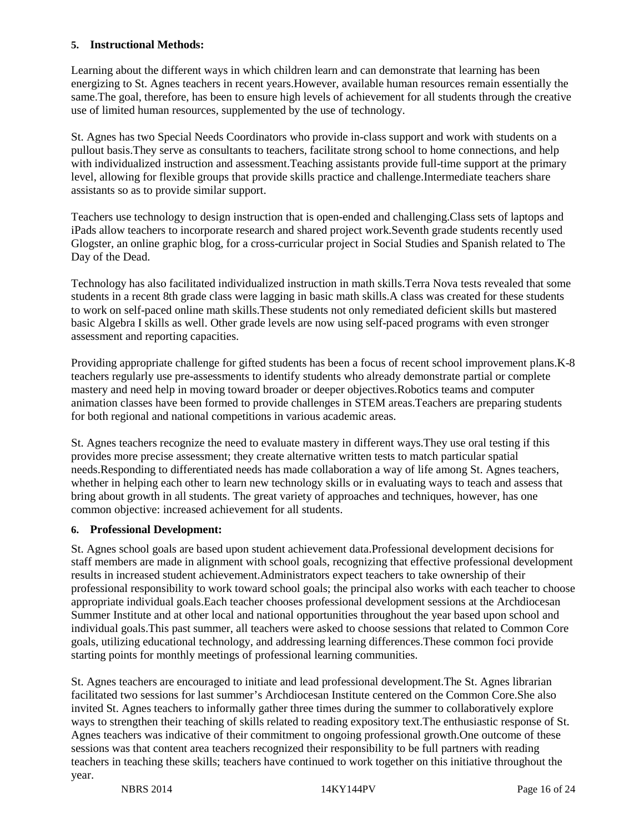#### **5. Instructional Methods:**

Learning about the different ways in which children learn and can demonstrate that learning has been energizing to St. Agnes teachers in recent years.However, available human resources remain essentially the same.The goal, therefore, has been to ensure high levels of achievement for all students through the creative use of limited human resources, supplemented by the use of technology.

St. Agnes has two Special Needs Coordinators who provide in-class support and work with students on a pullout basis.They serve as consultants to teachers, facilitate strong school to home connections, and help with individualized instruction and assessment. Teaching assistants provide full-time support at the primary level, allowing for flexible groups that provide skills practice and challenge.Intermediate teachers share assistants so as to provide similar support.

Teachers use technology to design instruction that is open-ended and challenging.Class sets of laptops and iPads allow teachers to incorporate research and shared project work.Seventh grade students recently used Glogster, an online graphic blog, for a cross-curricular project in Social Studies and Spanish related to The Day of the Dead.

Technology has also facilitated individualized instruction in math skills.Terra Nova tests revealed that some students in a recent 8th grade class were lagging in basic math skills.A class was created for these students to work on self-paced online math skills.These students not only remediated deficient skills but mastered basic Algebra I skills as well. Other grade levels are now using self-paced programs with even stronger assessment and reporting capacities.

Providing appropriate challenge for gifted students has been a focus of recent school improvement plans.K-8 teachers regularly use pre-assessments to identify students who already demonstrate partial or complete mastery and need help in moving toward broader or deeper objectives.Robotics teams and computer animation classes have been formed to provide challenges in STEM areas.Teachers are preparing students for both regional and national competitions in various academic areas.

St. Agnes teachers recognize the need to evaluate mastery in different ways.They use oral testing if this provides more precise assessment; they create alternative written tests to match particular spatial needs.Responding to differentiated needs has made collaboration a way of life among St. Agnes teachers, whether in helping each other to learn new technology skills or in evaluating ways to teach and assess that bring about growth in all students. The great variety of approaches and techniques, however, has one common objective: increased achievement for all students.

#### **6. Professional Development:**

St. Agnes school goals are based upon student achievement data.Professional development decisions for staff members are made in alignment with school goals, recognizing that effective professional development results in increased student achievement.Administrators expect teachers to take ownership of their professional responsibility to work toward school goals; the principal also works with each teacher to choose appropriate individual goals.Each teacher chooses professional development sessions at the Archdiocesan Summer Institute and at other local and national opportunities throughout the year based upon school and individual goals.This past summer, all teachers were asked to choose sessions that related to Common Core goals, utilizing educational technology, and addressing learning differences.These common foci provide starting points for monthly meetings of professional learning communities.

St. Agnes teachers are encouraged to initiate and lead professional development.The St. Agnes librarian facilitated two sessions for last summer's Archdiocesan Institute centered on the Common Core.She also invited St. Agnes teachers to informally gather three times during the summer to collaboratively explore ways to strengthen their teaching of skills related to reading expository text.The enthusiastic response of St. Agnes teachers was indicative of their commitment to ongoing professional growth.One outcome of these sessions was that content area teachers recognized their responsibility to be full partners with reading teachers in teaching these skills; teachers have continued to work together on this initiative throughout the year.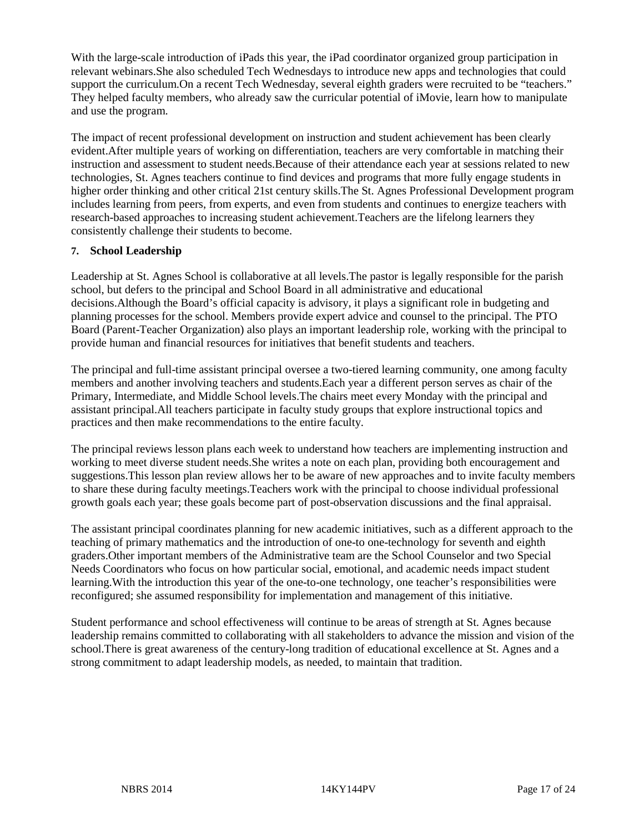With the large-scale introduction of iPads this year, the iPad coordinator organized group participation in relevant webinars.She also scheduled Tech Wednesdays to introduce new apps and technologies that could support the curriculum.On a recent Tech Wednesday, several eighth graders were recruited to be "teachers." They helped faculty members, who already saw the curricular potential of iMovie, learn how to manipulate and use the program.

The impact of recent professional development on instruction and student achievement has been clearly evident.After multiple years of working on differentiation, teachers are very comfortable in matching their instruction and assessment to student needs.Because of their attendance each year at sessions related to new technologies, St. Agnes teachers continue to find devices and programs that more fully engage students in higher order thinking and other critical 21st century skills.The St. Agnes Professional Development program includes learning from peers, from experts, and even from students and continues to energize teachers with research-based approaches to increasing student achievement.Teachers are the lifelong learners they consistently challenge their students to become.

#### **7. School Leadership**

Leadership at St. Agnes School is collaborative at all levels.The pastor is legally responsible for the parish school, but defers to the principal and School Board in all administrative and educational decisions.Although the Board's official capacity is advisory, it plays a significant role in budgeting and planning processes for the school. Members provide expert advice and counsel to the principal. The PTO Board (Parent-Teacher Organization) also plays an important leadership role, working with the principal to provide human and financial resources for initiatives that benefit students and teachers.

The principal and full-time assistant principal oversee a two-tiered learning community, one among faculty members and another involving teachers and students.Each year a different person serves as chair of the Primary, Intermediate, and Middle School levels.The chairs meet every Monday with the principal and assistant principal.All teachers participate in faculty study groups that explore instructional topics and practices and then make recommendations to the entire faculty.

The principal reviews lesson plans each week to understand how teachers are implementing instruction and working to meet diverse student needs.She writes a note on each plan, providing both encouragement and suggestions.This lesson plan review allows her to be aware of new approaches and to invite faculty members to share these during faculty meetings.Teachers work with the principal to choose individual professional growth goals each year; these goals become part of post-observation discussions and the final appraisal.

The assistant principal coordinates planning for new academic initiatives, such as a different approach to the teaching of primary mathematics and the introduction of one-to one-technology for seventh and eighth graders.Other important members of the Administrative team are the School Counselor and two Special Needs Coordinators who focus on how particular social, emotional, and academic needs impact student learning.With the introduction this year of the one-to-one technology, one teacher's responsibilities were reconfigured; she assumed responsibility for implementation and management of this initiative.

Student performance and school effectiveness will continue to be areas of strength at St. Agnes because leadership remains committed to collaborating with all stakeholders to advance the mission and vision of the school.There is great awareness of the century-long tradition of educational excellence at St. Agnes and a strong commitment to adapt leadership models, as needed, to maintain that tradition.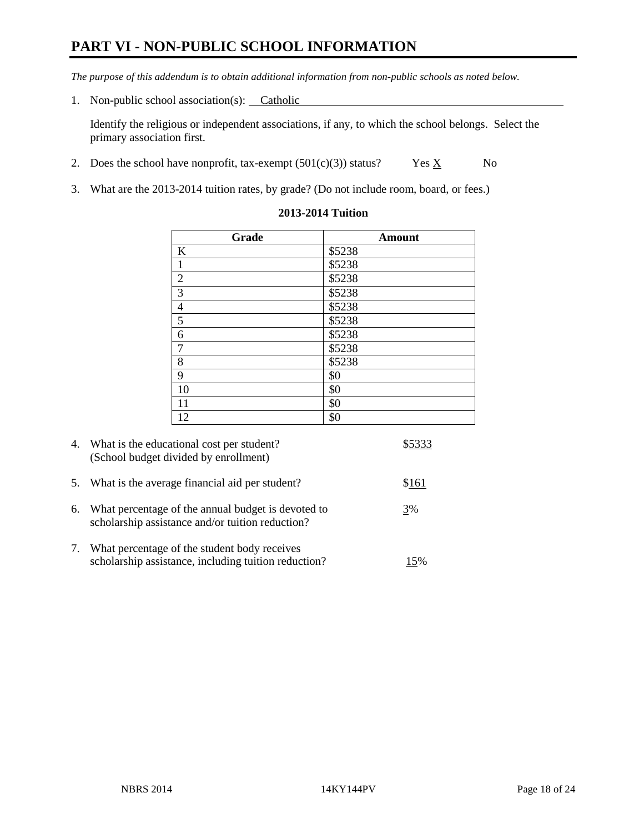# **PART VI - NON-PUBLIC SCHOOL INFORMATION**

*The purpose of this addendum is to obtain additional information from non-public schools as noted below.* 

1. Non-public school association(s): Catholic

Identify the religious or independent associations, if any, to which the school belongs. Select the primary association first.

- 2. Does the school have nonprofit, tax-exempt  $(501(c)(3))$  status? Yes  $\underline{X}$  No
- 3. What are the 2013-2014 tuition rates, by grade? (Do not include room, board, or fees.)

| Grade                    | <b>Amount</b> |
|--------------------------|---------------|
| $\bf K$                  | \$5238        |
| $\mathbf{1}$             | \$5238        |
| $\overline{2}$           | \$5238        |
| $\overline{3}$           | \$5238        |
| $\overline{\mathcal{L}}$ | \$5238        |
| $\overline{5}$           | \$5238        |
| $\boldsymbol{6}$         | \$5238        |
| $\boldsymbol{7}$         | \$5238        |
| 8                        | \$5238        |
| 9                        | \$0           |
| 10                       | \$0           |
| 11                       | \$0           |
| 12                       | \$0           |

#### **2013-2014 Tuition**

| 4. | What is the educational cost per student?<br>(School budget divided by enrollment)                     |       |
|----|--------------------------------------------------------------------------------------------------------|-------|
| 5. | What is the average financial aid per student?                                                         | \$161 |
| 6. | What percentage of the annual budget is devoted to<br>scholarship assistance and/or tuition reduction? | 3%    |
| 7. | What percentage of the student body receives<br>scholarship assistance, including tuition reduction?   | 15%   |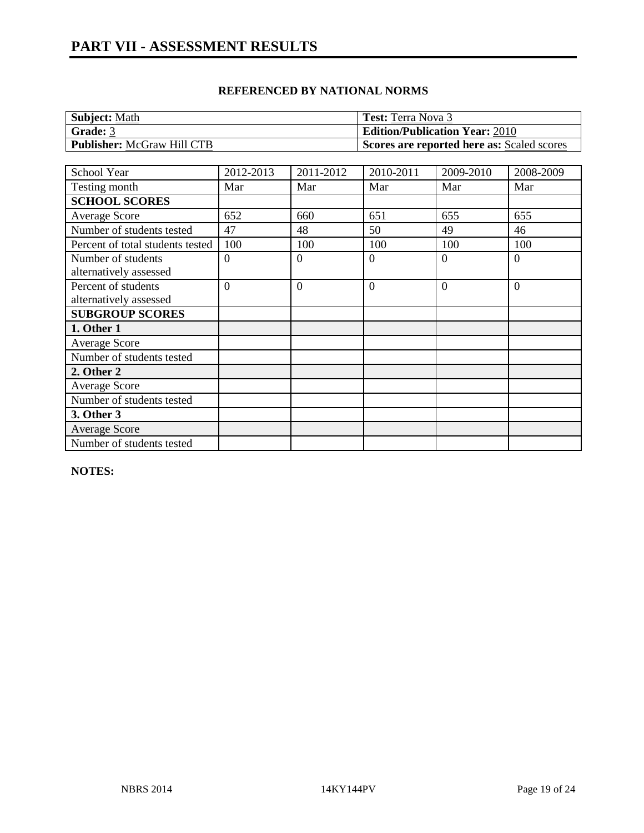| <b>Subject: Math</b>              | <b>Test:</b> Terra Nova 3                  |
|-----------------------------------|--------------------------------------------|
| Grade: 3                          | <b>Edition/Publication Year: 2010</b>      |
| <b>Publisher: McGraw Hill CTB</b> | Scores are reported here as: Scaled scores |

| School Year                      | 2012-2013      | 2011-2012      | 2010-2011      | 2009-2010 | 2008-2009      |
|----------------------------------|----------------|----------------|----------------|-----------|----------------|
| Testing month                    | Mar            | Mar            | Mar            | Mar       | Mar            |
| <b>SCHOOL SCORES</b>             |                |                |                |           |                |
| <b>Average Score</b>             | 652            | 660            | 651            | 655       | 655            |
| Number of students tested        | 47             | 48             | 50             | 49        | 46             |
| Percent of total students tested | 100            | 100            | 100            | 100       | 100            |
| Number of students               | $\theta$       | $\Omega$       | $\theta$       | $\Omega$  | $\theta$       |
| alternatively assessed           |                |                |                |           |                |
| Percent of students              | $\overline{0}$ | $\overline{0}$ | $\overline{0}$ | $\Omega$  | $\overline{0}$ |
| alternatively assessed           |                |                |                |           |                |
| <b>SUBGROUP SCORES</b>           |                |                |                |           |                |
| 1. Other 1                       |                |                |                |           |                |
| <b>Average Score</b>             |                |                |                |           |                |
| Number of students tested        |                |                |                |           |                |
| 2. Other 2                       |                |                |                |           |                |
| <b>Average Score</b>             |                |                |                |           |                |
| Number of students tested        |                |                |                |           |                |
| 3. Other 3                       |                |                |                |           |                |
| Average Score                    |                |                |                |           |                |
| Number of students tested        |                |                |                |           |                |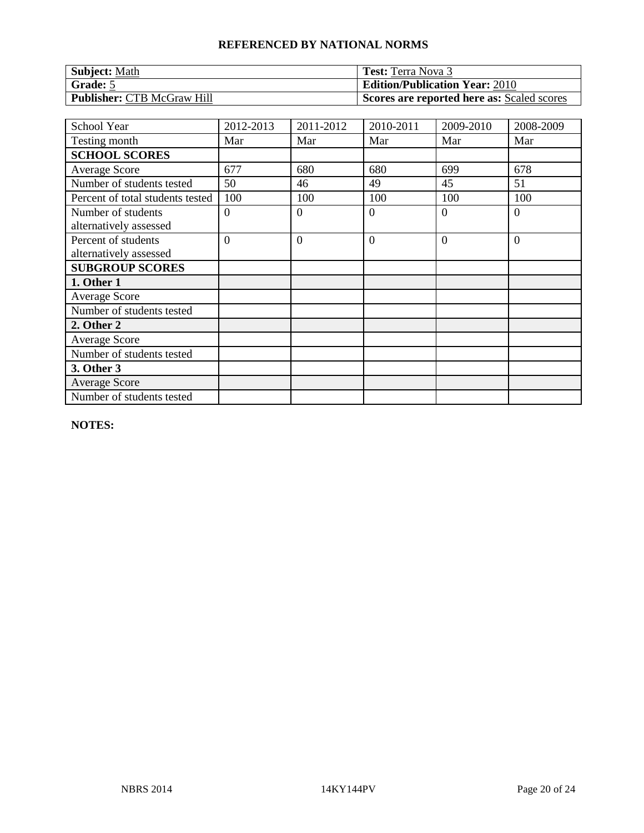| <b>Subject: Math</b>              | <b>Test:</b> Terra Nova 3                  |
|-----------------------------------|--------------------------------------------|
| Grade: 5                          | <b>Edition/Publication Year: 2010</b>      |
| <b>Publisher: CTB McGraw Hill</b> | Scores are reported here as: Scaled scores |

| School Year                                   | 2012-2013      | 2011-2012      | 2010-2011      | 2009-2010 | 2008-2009      |
|-----------------------------------------------|----------------|----------------|----------------|-----------|----------------|
| Testing month                                 | Mar            | Mar            | Mar            | Mar       | Mar            |
| <b>SCHOOL SCORES</b>                          |                |                |                |           |                |
| <b>Average Score</b>                          | 677            | 680            | 680            | 699       | 678            |
| Number of students tested                     | 50             | 46             | 49             | 45        | 51             |
| Percent of total students tested              | 100            | 100            | 100            | 100       | 100            |
| Number of students<br>alternatively assessed  | $\theta$       | $\overline{0}$ | $\overline{0}$ | $\Omega$  | $\overline{0}$ |
| Percent of students<br>alternatively assessed | $\overline{0}$ | $\overline{0}$ | $\overline{0}$ | $\Omega$  | $\overline{0}$ |
| <b>SUBGROUP SCORES</b>                        |                |                |                |           |                |
| 1. Other 1                                    |                |                |                |           |                |
| <b>Average Score</b>                          |                |                |                |           |                |
| Number of students tested                     |                |                |                |           |                |
| 2. Other 2                                    |                |                |                |           |                |
| <b>Average Score</b>                          |                |                |                |           |                |
| Number of students tested                     |                |                |                |           |                |
| 3. Other 3                                    |                |                |                |           |                |
| <b>Average Score</b>                          |                |                |                |           |                |
| Number of students tested                     |                |                |                |           |                |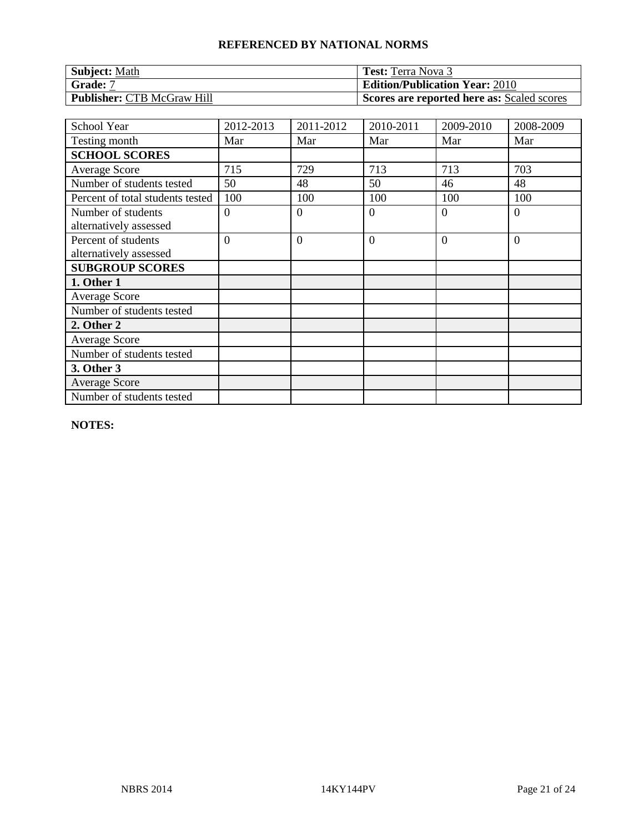| <b>Subject: Math</b>              | <b>Test:</b> Terra Nova 3                  |
|-----------------------------------|--------------------------------------------|
| Grade: 7                          | <b>Edition/Publication Year: 2010</b>      |
| <b>Publisher: CTB McGraw Hill</b> | Scores are reported here as: Scaled scores |

| School Year                                   | 2012-2013      | 2011-2012      | 2010-2011      | 2009-2010 | 2008-2009      |
|-----------------------------------------------|----------------|----------------|----------------|-----------|----------------|
| Testing month                                 | Mar            | Mar            | Mar            | Mar       | Mar            |
| <b>SCHOOL SCORES</b>                          |                |                |                |           |                |
| Average Score                                 | 715            | 729            | 713            | 713       | 703            |
| Number of students tested                     | 50             | 48             | 50             | 46        | 48             |
| Percent of total students tested              | 100            | 100            | 100            | 100       | 100            |
| Number of students<br>alternatively assessed  | $\Omega$       | $\Omega$       | $\overline{0}$ | $\Omega$  | $\overline{0}$ |
| Percent of students<br>alternatively assessed | $\overline{0}$ | $\overline{0}$ | $\overline{0}$ | $\Omega$  | $\overline{0}$ |
| <b>SUBGROUP SCORES</b>                        |                |                |                |           |                |
| 1. Other 1                                    |                |                |                |           |                |
| <b>Average Score</b>                          |                |                |                |           |                |
| Number of students tested                     |                |                |                |           |                |
| 2. Other 2                                    |                |                |                |           |                |
| <b>Average Score</b>                          |                |                |                |           |                |
| Number of students tested                     |                |                |                |           |                |
| 3. Other 3                                    |                |                |                |           |                |
| <b>Average Score</b>                          |                |                |                |           |                |
| Number of students tested                     |                |                |                |           |                |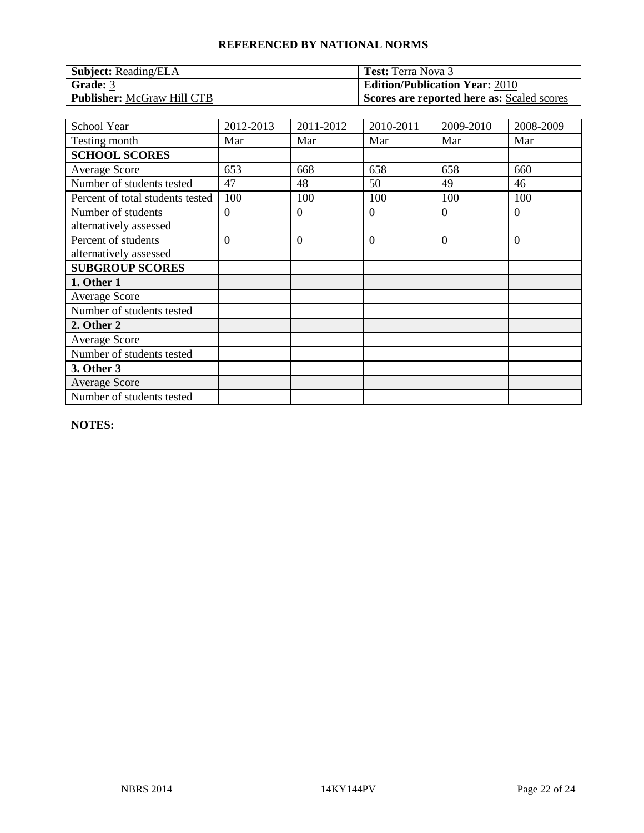| <b>Subject:</b> Reading/ELA       | <b>Test:</b> Terra Nova 3                  |
|-----------------------------------|--------------------------------------------|
| Grade: 3                          | <b>Edition/Publication Year: 2010</b>      |
| <b>Publisher: McGraw Hill CTB</b> | Scores are reported here as: Scaled scores |

| School Year                                   | 2012-2013      | 2011-2012      | 2010-2011      | 2009-2010 | 2008-2009      |
|-----------------------------------------------|----------------|----------------|----------------|-----------|----------------|
| Testing month                                 | Mar            | Mar            | Mar            | Mar       | Mar            |
| <b>SCHOOL SCORES</b>                          |                |                |                |           |                |
| <b>Average Score</b>                          | 653            | 668            | 658            | 658       | 660            |
| Number of students tested                     | 47             | 48             | 50             | 49        | 46             |
| Percent of total students tested              | 100            | 100            | 100            | 100       | 100            |
| Number of students<br>alternatively assessed  | $\Omega$       | $\Omega$       | $\overline{0}$ | $\Omega$  | $\overline{0}$ |
| Percent of students<br>alternatively assessed | $\overline{0}$ | $\overline{0}$ | $\overline{0}$ | $\Omega$  | $\overline{0}$ |
| <b>SUBGROUP SCORES</b>                        |                |                |                |           |                |
| 1. Other 1                                    |                |                |                |           |                |
| <b>Average Score</b>                          |                |                |                |           |                |
| Number of students tested                     |                |                |                |           |                |
| 2. Other 2                                    |                |                |                |           |                |
| <b>Average Score</b>                          |                |                |                |           |                |
| Number of students tested                     |                |                |                |           |                |
| 3. Other 3                                    |                |                |                |           |                |
| <b>Average Score</b>                          |                |                |                |           |                |
| Number of students tested                     |                |                |                |           |                |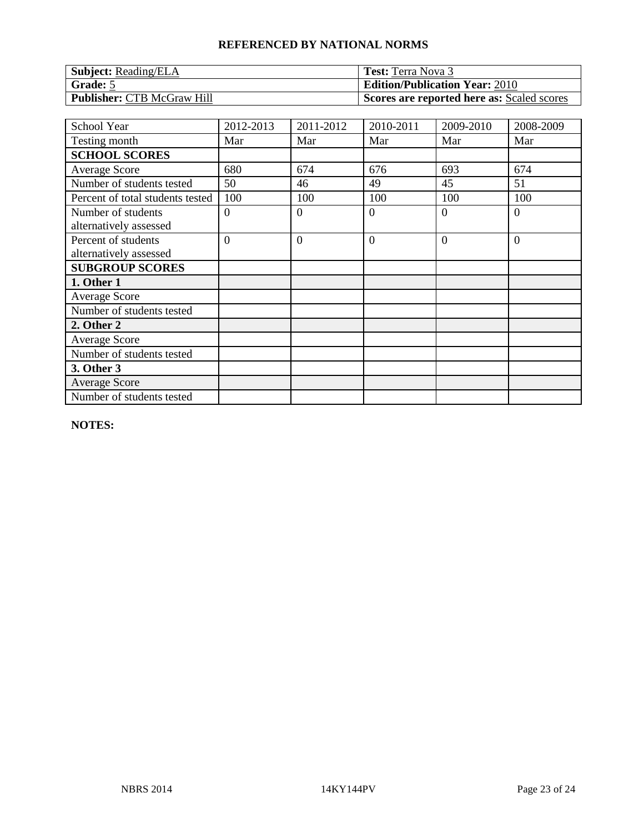| <b>Subject:</b> Reading/ELA       | <b>Test:</b> Terra Nova 3                  |
|-----------------------------------|--------------------------------------------|
| Grade: 5                          | <b>Edition/Publication Year: 2010</b>      |
| <b>Publisher: CTB McGraw Hill</b> | Scores are reported here as: Scaled scores |

| School Year                                   | 2012-2013      | 2011-2012      | 2010-2011      | 2009-2010 | 2008-2009      |
|-----------------------------------------------|----------------|----------------|----------------|-----------|----------------|
| Testing month                                 | Mar            | Mar            | Mar            | Mar       | Mar            |
| <b>SCHOOL SCORES</b>                          |                |                |                |           |                |
| <b>Average Score</b>                          | 680            | 674            | 676            | 693       | 674            |
| Number of students tested                     | 50             | 46             | 49             | 45        | 51             |
| Percent of total students tested              | 100            | 100            | 100            | 100       | 100            |
| Number of students<br>alternatively assessed  | $\theta$       | $\overline{0}$ | $\overline{0}$ | $\Omega$  | $\overline{0}$ |
| Percent of students<br>alternatively assessed | $\overline{0}$ | $\overline{0}$ | $\overline{0}$ | $\Omega$  | $\overline{0}$ |
| <b>SUBGROUP SCORES</b>                        |                |                |                |           |                |
| 1. Other 1                                    |                |                |                |           |                |
| <b>Average Score</b>                          |                |                |                |           |                |
| Number of students tested                     |                |                |                |           |                |
| 2. Other 2                                    |                |                |                |           |                |
| <b>Average Score</b>                          |                |                |                |           |                |
| Number of students tested                     |                |                |                |           |                |
| 3. Other 3                                    |                |                |                |           |                |
| <b>Average Score</b>                          |                |                |                |           |                |
| Number of students tested                     |                |                |                |           |                |